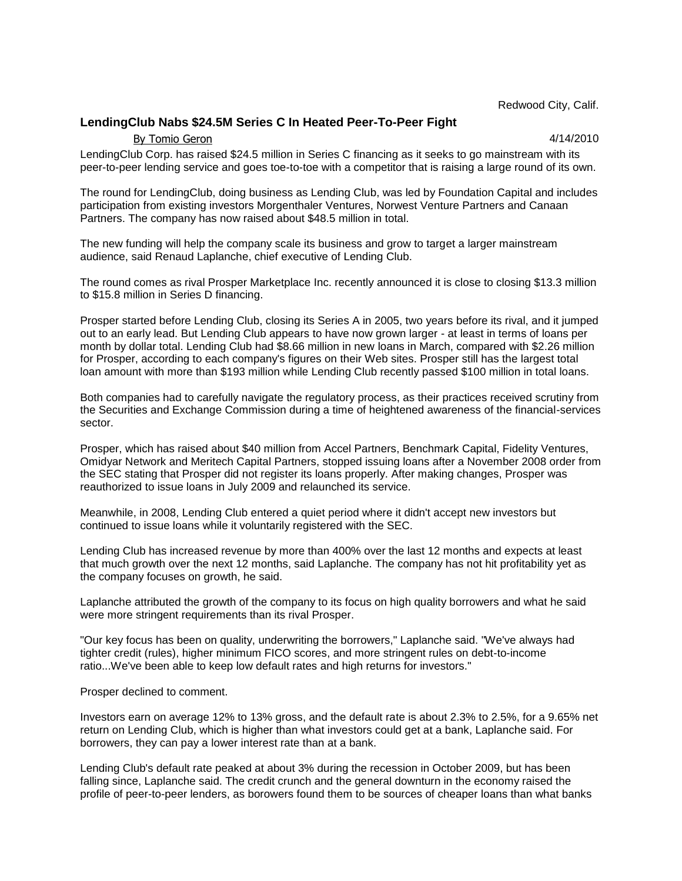Redwood City, Calif.

## **LendingClub Nabs \$24.5M Series C In Heated Peer-To-Peer Fight**

By Tomio Geron 4/14/2010

LendingClub Corp. has raised \$24.5 million in Series C financing as it seeks to go mainstream with its peer-to-peer lending service and goes toe-to-toe with a competitor that is raising a large round of its own.

The round for LendingClub, doing business as Lending Club, was led by Foundation Capital and includes participation from existing investors Morgenthaler Ventures, Norwest Venture Partners and Canaan Partners. The company has now raised about \$48.5 million in total.

The new funding will help the company scale its business and grow to target a larger mainstream audience, said Renaud Laplanche, chief executive of Lending Club.

The round comes as rival Prosper Marketplace Inc. recently announced it is close to closing \$13.3 million to \$15.8 million in Series D financing.

Prosper started before Lending Club, closing its Series A in 2005, two years before its rival, and it jumped out to an early lead. But Lending Club appears to have now grown larger - at least in terms of loans per month by dollar total. Lending Club had \$8.66 million in new loans in March, compared with \$2.26 million for Prosper, according to each company's figures on their Web sites. Prosper still has the largest total loan amount with more than \$193 million while Lending Club recently passed \$100 million in total loans.

Both companies had to carefully navigate the regulatory process, as their practices received scrutiny from the Securities and Exchange Commission during a time of heightened awareness of the financial-services sector.

Prosper, which has raised about \$40 million from Accel Partners, Benchmark Capital, Fidelity Ventures, Omidyar Network and Meritech Capital Partners, stopped issuing loans after a November 2008 order from the SEC stating that Prosper did not register its loans properly. After making changes, Prosper was reauthorized to issue loans in July 2009 and relaunched its service.

Meanwhile, in 2008, Lending Club entered a quiet period where it didn't accept new investors but continued to issue loans while it voluntarily registered with the SEC.

Lending Club has increased revenue by more than 400% over the last 12 months and expects at least that much growth over the next 12 months, said Laplanche. The company has not hit profitability yet as the company focuses on growth, he said.

Laplanche attributed the growth of the company to its focus on high quality borrowers and what he said were more stringent requirements than its rival Prosper.

"Our key focus has been on quality, underwriting the borrowers," Laplanche said. "We've always had tighter credit (rules), higher minimum FICO scores, and more stringent rules on debt-to-income ratio...We've been able to keep low default rates and high returns for investors."

Prosper declined to comment.

Investors earn on average 12% to 13% gross, and the default rate is about 2.3% to 2.5%, for a 9.65% net return on Lending Club, which is higher than what investors could get at a bank, Laplanche said. For borrowers, they can pay a lower interest rate than at a bank.

Lending Club's default rate peaked at about 3% during the recession in October 2009, but has been falling since, Laplanche said. The credit crunch and the general downturn in the economy raised the profile of peer-to-peer lenders, as borowers found them to be sources of cheaper loans than what banks